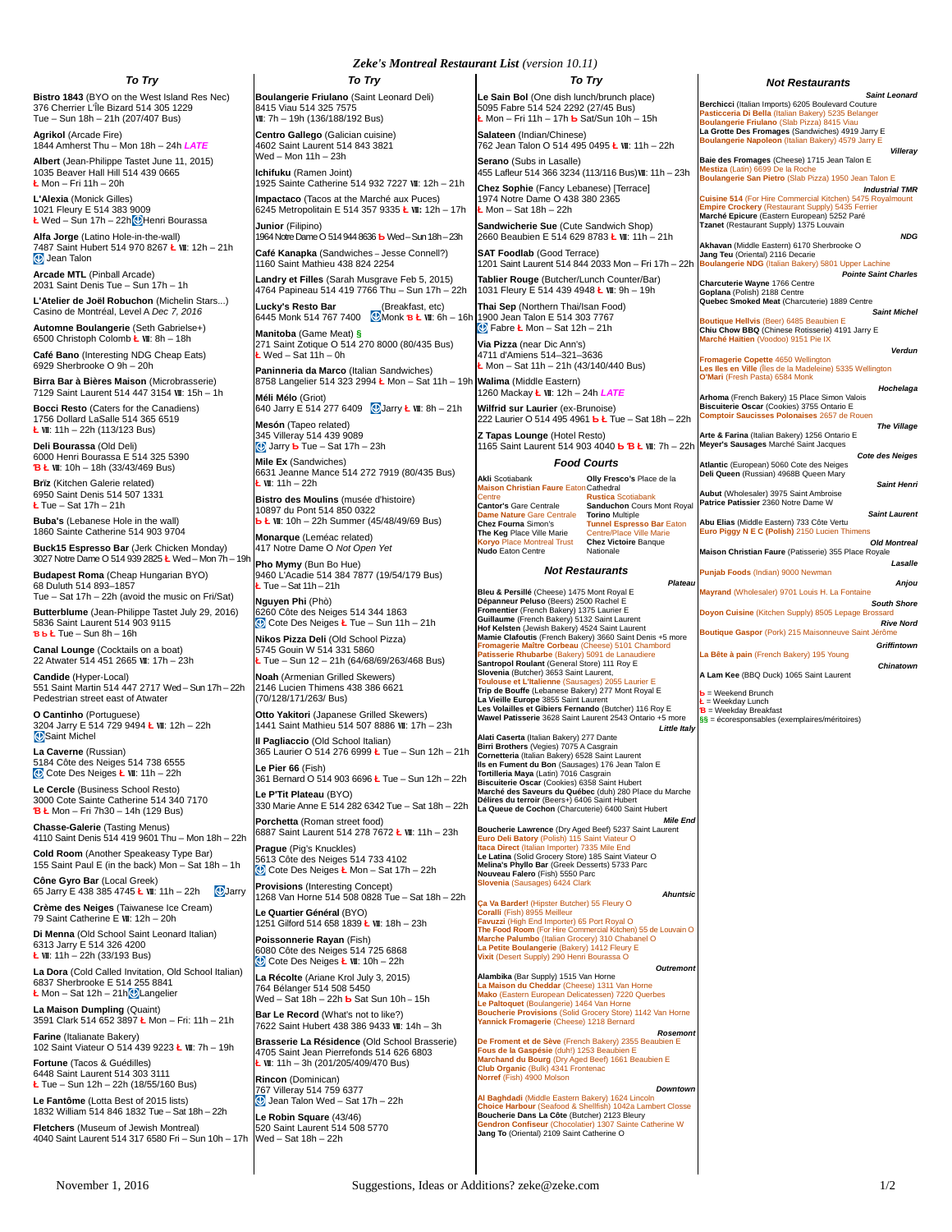#### *To Try*

**Bistro 1843** (BYO on the West Island Res Nec) 376 Cherrier L'Île Bizard 514 305 1229 Tue – Sun 18h – 21h (207/407 Bus)

**Agrikol** (Arcade Fire) 1844 Amherst Thu – Mon 18h – 24h *LATE* **Albert** (Jean-Philippe Tastet June 11, 2015) 1035 Beaver Hall Hill 514 439 0665 **Ł** Mon – Fri 11h – 20h

**L'Alexia** (Monick Gilles) 1021 Fleury E 514 383 9009 **Ł** Wed – Sun 17h – 22h Henri Bourassa

**Alfa Jorge** (Latino Hole-in-the-wall) 7487 Saint Hubert 514 970 8267 **Ł** Ⅶ: 12h – 21h **Jean Talon** 

**Arcade MTL** (Pinball Arcade) 2031 Saint Denis Tue – Sun 17h – 1h

**L'Atelier de Joël Robuchon** (Michelin Stars...) Casino de Montréal, Level A *Dec 7, 2016*

**Automne Boulangerie** (Seth Gabrielse+) 6500 Christoph Colomb **Ł** Ⅶ: 8h – 18h

**Café Bano** (Interesting NDG Cheap Eats) 6929 Sherbrooke O 9h – 20h

**Birra Bar à Bières Maison** (Microbrasserie) 7129 Saint Laurent 514 447 3154 Ⅶ: 15h – 1h

**Bocci Resto** (Caters for the Canadiens) 1756 Dollard LaSalle 514 365 6519 **Ł** Ⅶ: 11h – 22h (113/123 Bus)

**Deli Bourassa** (Old Deli) 6000 Henri Bourassa E 514 325 5390 **Ɓ Ł** Ⅶ: 10h – 18h (33/43/469 Bus)

**Brïz** (Kitchen Galerie related) 6950 Saint Denis 514 507 1331 **Ł** Tue – Sat 17h – 21h

**Buba's** (Lebanese Hole in the wall) 1860 Sainte Catherine 514 903 9704

**Buck15 Espresso Bar** (Jerk Chicken Monday) 3027 Notre Dame O 514 939 2825 **Ł** Wed – Mon 7h – 19h

**Budapest Roma** (Cheap Hungarian BYO) 68 Duluth 514 893–1857 Tue – Sat 17h – 22h (avoid the music on Fri/Sat)

**Butterblume** (Jean-Philippe Tastet July 29, 2016) 5836 Saint Laurent 514 903 9115 **Ɓ Ƅ Ł** Tue – Sun 8h – 16h

**Canal Lounge** (Cocktails on a boat) 22 Atwater 514 451 2665 Ⅶ: 17h – 23h

**Candide** (Hyper-Local) 551 Saint Martin 514 447 2717 Wed – Sun 17h – 22h Pedestrian street east of Atwater

**O Cantinho** (Portuguese) 3204 Jarry E 514 729 9494 **Ł** Ⅶ: 12h – 22h Saint Michel

**La Caverne** (Russian) 5184 Côte des Neiges 514 738 6555 Cote Des Neiges **Ł** Ⅶ: 11h – 22h

**Le Cercle** (Business School Resto) 3000 Cote Sainte Catherine 514 340 7170 **Ɓ Ł** Mon – Fri 7h30 – 14h (129 Bus)

**Chasse-Galerie** (Tasting Menus) 4110 Saint Denis 514 419 9601 Thu – Mon 18h – 22h

**Cold Room** (Another Speakeasy Type Bar) 155 Saint Paul E (in the back) Mon – Sat 18h – 1h

**Cône Gyro Bar** (Local Greek) 65 Jarry E 438 385 4745 **Ł** Ⅶ: 11h – 22h Jarry

**Crème des Neiges** (Taiwanese Ice Cream) 79 Saint Catherine E Ⅶ: 12h – 20h

**Di Menna** (Old School Saint Leonard Italian) 6313 Jarry E 514 326 4200 **Ł** Ⅶ: 11h – 22h (33/193 Bus)

**La Dora** (Cold Called Invitation, Old School Italian) 6837 Sherbrooke E 514 255 8841 **Ł** Mon – Sat 12h – 21h**Q** Langelier

**La Maison Dumpling** (Quaint) 3591 Clark 514 652 3897 **Ł** Mon – Fri: 11h – 21h

**Farine** (Italianate Bakery) 102 Saint Viateur O 514 439 9223 **Ł** Ⅶ: 7h – 19h **Fortune** (Tacos & Guédilles)

6448 Saint Laurent 514 303 3111 **Ł** Tue – Sun 12h – 22h (18/55/160 Bus)

**Le Fantôme** (Lotta Best of 2015 lists) 1832 William 514 846 1832 Tue – Sat 18h – 22h **Fletchers** (Museum of Jewish Montreal)

4040 Saint Laurent 514 317 6580 Fri – Sun 10h – 17h

*Zeke's Montreal Restaurant List (version 10.11)*

*To Try*

**Boulangerie Friulano** (Saint Leonard Deli) 8415 Viau 514 325 7575 Ⅶ: 7h – 19h (136/188/192 Bus) **Centro Gallego** (Galician cuisine)

4602 Saint Laurent 514 843 3821 Wed – Mon 11h – 23h **Ichifuku** (Ramen Joint)

1925 Sainte Catherine 514 932 7227 Ⅶ: 12h – 21h **Impactaco** (Tacos at the Marché aux Puces) 6245 Metropolitain E 514 357 9335 **Ł** Ⅶ**:** 12h – 17h

**Junior** (Filipino) 1964 Notre Dame O 514 944 8636 **Ƅ** Wed – Sun 18h – 23h

**Café Kanapka** (Sandwiches – Jesse Connell?) 1160 Saint Mathieu 438 824 2254

**Landry et Filles** (Sarah Musgrave Feb 5, 2015) 4764 Papineau 514 419 7766 Thu – Sun 17h – 22h

**Lucky's Resto Bar** (Breakfast, etc) 6445 Monk 514 767 7400 Monk **Ɓ Ł** Ⅶ: 6h – 16h **Manitoba** (Game Meat) **§**

271 Saint Zotique O 514 270 8000 (80/435 Bus) **Ł** Wed – Sat 11h – 0h

**Paninneria da Marco** (Italian Sandwiches) 8758 Langelier 514 323 2994 **Ł** Mon – Sat 11h – 19h **Méli Mélo** (Griot)

640 Jarry E 514 277 6409 Jarry **Ł** Ⅶ: 8h – 21h **Mesón** (Tapeo related)

345 Villeray 514 439 9089 Jarry **Ƅ** Tue – Sat 17h – 23h **Mile Ex** (Sandwiches)

6631 Jeanne Mance 514 272 7919 (80/435 Bus) **Ł** Ⅶ: 11h – 22h

**Bistro des Moulins** (musée d'histoire) 10897 du Pont 514 850 0322 **Ƅ Ł** Ⅶ: 10h – 22h Summer (45/48/49/69 Bus) **Monarque** (Leméac related)

417 Notre Dame O *Not Open Yet*

**Pho Mymy** (Bun Bo Hue) 9460 L'Acadie 514 384 7877 (19/54/179 Bus) **Ł** Tue – Sat 11h – 21h

**Nguyen Phi** (Phò) 6260 Côte des Neiges 514 344 1863 Cote Des Neiges **Ł** Tue – Sun 11h – 21h **Nikos Pizza Deli** (Old School Pizza) 5745 Gouin W 514 331 5860 **Ł** Tue – Sun 12 – 21h (64/68/69/263/468 Bus) **Noah** (Armenian Grilled Skewers)

2146 Lucien Thimens 438 386 6621 (70/128/171/263/ Bus)

**Otto Yakitori** (Japanese Grilled Skewers) 1441 Saint Mathieu 514 507 8886 Ⅶ: 17h – 23h **Il Pagliaccio** (Old School Italian)

365 Laurier O 514 276 6999 **Ł** Tue – Sun 12h – 21h **Le Pier 66** (Fish)

361 Bernard O 514 903 6696 **Ł** Tue – Sun 12h – 22h **Le P'Tit Plateau** (BYO)

330 Marie Anne E 514 282 6342 Tue – Sat 18h – 22h **Porchetta** (Roman street food)

6887 Saint Laurent 514 278 7672 **Ł** Ⅶ: 11h – 23h **Prague** (Pig's Knuckles)

5613 Côte des Neiges 514 733 4102 Cote Des Neiges **Ł** Mon – Sat 17h – 22h

**Provisions** (Interesting Concept) 1268 Van Horne 514 508 0828 Tue – Sat 18h – 22h

**Le Quartier Général** (BYO) 1251 Gilford 514 658 1839 **Ł** Ⅶ: 18h – 23h

**Poissonnerie Rayan** (Fish) 6080 Côte des Neiges 514 725 6868 Cote Des Neiges **Ł** Ⅶ: 10h – 22h

**La Récolte** (Ariane Krol July 3, 2015) 764 Bélanger 514 508 5450 Wed – Sat 18h – 22h **Ƅ** Sat Sun 10h – 15h

**Bar Le Record** (What's not to like?) 7622 Saint Hubert 438 386 9433 Ⅶ: 14h – 3h

**Brasserie La Résidence** (Old School Brasserie) 4705 Saint Jean Pierrefonds 514 626 6803 **Ł** Ⅶ: 11h – 3h (201/205/409/470 Bus)

**Rincon** (Dominican) 767 Villeray 514 759 6377  $\bigcirc$  Jean Talon Wed – Sat 17h – 22h

**Le Robin Square** (43/46) 520 Saint Laurent 514 508 5770 Wed – Sat 18h – 22h

*To Try* **Le Sain Bol** (One dish lunch/brunch place)

5095 Fabre 514 524 2292 (27/45 Bus) **Ł** Mon – Fri 11h – 17h **Ƅ** Sat/Sun 10h – 15h **Salateen** (Indian/Chinese) 762 Jean Talon O 514 495 0495 **Ł** Ⅶ: 11h – 22h

**Serano** (Subs in Lasalle) 455 Lafleur 514 366 3234 (113/116 Bus)Ⅶ: 11h – 23h

**Chez Sophie** (Fancy Lebanese) [Terrace] 1974 Notre Dame O 438 380 2365

**Ł** Mon – Sat 18h – 22h **Sandwicherie Sue** (Cute Sandwich Shop)

2660 Beaubien E 514 629 8783 **Ł** Ⅶ: 11h – 21h **SAT Foodlab** (Good Terrace)

1201 Saint Laurent 514 844 2033 Mon – Fri 17h – 22h **Tablier Rouge** (Butcher/Lunch Counter/Bar)

1031 Fleury E 514 439 4948 **Ł** Ⅶ: 9h – 19h **Thai Sep** (Northern Thai/Isan Food) 1900 Jean Talon E 514 303 7767 Fabre **Ł** Mon – Sat 12h – 21h

**Via Pizza** (near Dic Ann's) 4711 d'Amiens 514–321–3636 **Ł** Mon – Sat 11h – 21h (43/140/440 Bus)

**Walima** (Middle Eastern) 1260 Mackay **Ł** Ⅶ: 12h – 24h *LATE*

**Wilfrid sur Laurier** (ex-Brunoise) 222 Laurier O 514 495 4961 **Ƅ Ł** Tue – Sat 18h – 22h

**Z Tapas Lounge** (Hotel Resto) 1165 Saint Laurent 514 903 4040 **Ƅ Ɓ Ł** Ⅶ: 7h – 22h

### *Food Courts*

**Akli** Scotiabank **Maison Christian Faure** Eaton **Olly Fresco's** Place de la Cathedral Centre **Cantor's** Gare Centrale **Dame Nature** Gare Centrale **Chez Fourna** Simon's **The Keg** Place Ville Marie **ntreal Trust Nudo** Eaton Centre

**Rustica** Scotiabank **Sanduchon** Cours Mont Royal **Torino** Multiple **Tunnel Espresso Bar** Eaton Centre/Place Ville Marie **Chez Victoire** Banque Nationale

#### *Not Restaurants*

*Plateau* **Bleu & Persillé** (Cheese) 1475 Mont Royal E **Dépanneur Peluso** (Beers) 2500 Rachel E **Fromentier** (French Bakery) 1375 Laurier E **Guillaume** (French Bakery) 5132 Saint Laurent **Hof Kelsten** (Jewish Bakery) 4524 Saint Laurent **Mamie Clafoutis** (French Bakery) 3660 Saint Denis +5 more **Exercie Maître Corbeau (C Patisserie Rhubarbe** (Bakery) 5091 de Lanaudiere **Santropol Roulant** (General Store) 111 Roy E **Slovenia** (Butcher) 3653 Saint Laurent,<br><mark>Toulouse et L'Italienne (Sausages) 2055 Laurier E<br>**Trip de Bouffe** (Lebanese Bakery) 277 Mont Royal E<br>**La Vieille Europe** 3855 Saint Laurent</mark> **Les Volailles et Gibiers Fernando** (Butcher) 116 Roy E **Wawel Patisserie** 3628 Saint Laurent 2543 Ontario +5 more *Little Italy*

Alati Caserta (Italian Bakery) 277 Dante<br>Birri Brothers (Vegies) 7075 A Casgrain<br>Cornetteria (Italian Bakery) 6528 Saint Laurent<br>Ils en Fument du Bon (Sausages) 176 Jean Talon E<br>Tortilleria Maya (Latin) 7016 Casgrain **Biscuiterie Oscar** (Cookies) 6358 Saint Hubert **Marché des Saveurs du Québec** (duh) 280 Place du Marche **Délires du terroir** (Beers+) 6406 Saint Hubert **La Queue de Cochon** (Charcuterie) 6400 Saint Hubert

*Mile End* www.cherie Lawrence (Dry Aged Beef) 5237 Saint Laurenteering **Euro Deli Batory** (Polish) 115 Saint Viateur O **Itaca Direct** (Italian Importer) 7335 Mile End **Le Latina** (Solid Grocery Store) 185 Saint Viateur O **Melina's Phyllo Bar** (Greek Desserts) 5733 Parc **Nouveau Falero** (Fish) 5550 Parc **Slovenia** (Sausages) 6424 Clark *Ahuntsic*

**Ça Va Barder!** (Hipster Butcher) 55 Fleury O **Coralli** (Fish) 8955 Meilleur **Favuzzi** (High End Importer) 65 Port Royal O

**The Food Room** (For Hire Commercial Kitchen) 55 de Louvain O<br>**Marche Palumbo** (Italian Grocery) 310 Chabanel O<br>**La Petite Boulangerie** (Bakery) 1412 Fleury E<br>**Vixit** (Desert Supply) 290 Henri Bourassa O *Outremont*

**Alambika** (Bar Supply) 1515 Van Horne

**La Maison du Cheddar** (Cheese) 1311 Van Horne **Mako** (Eastern European Delicatessen) 7220 Querbes **Le Paltoquet** (Boulangerie) 1464 Van Horne **Boucherie Provisions** (Solid Grocery Store) 1142 Van Horne **Yannick Fromagerie** (Cheese) 1218 Bernard

*Rosemont* **De Froment et de Sève** (French Bakery) 2355 Beaubien E **Fous de la Gaspésie** (duh!) 1253 Beaubien E **Marchand du Bourg** (Dry Aged Beef) 1661 Beaubien E **Club Organic** (Bulk) 4341 Frontenac **Norref** (Fish) 4900 Molson

*Downtown* **Al Baghdadi** (Middle Eastern Bakery) 1624 Lincoln **Choice Harbour** (Seafood & Shellfish) 1042a Lambert Closse **Boucherie Dans La Côte** (Butcher) 2123 Bleury **Gendron Confiseur** (Chocolatier) 1307 Sainte Catherine W **Jang To** (Oriental) 2109 Saint Catherine O

November 1, 2016 **Suggestions, Ideas or Additions?** zeke@zeke.com 1/2

## *Not Restaurants*

*Saint Leonard* **Berchicci** (Italian Imports) 6205 Boulevard Couture **Pasticceria Di Bella** (Italian Bakery) 5235 Belanger **Boulangerie Friulano** (Slab Pizza) 8415 Viau **La Grotte Des Fromages** (Sandwiches) 4919 Jarry E **Boulangerie Napoleon** (Italian Bakery) 4579 Jarry E

*Villeray* **Baie des Fromages** (Cheese) 1715 Jean Talon E **Mestiza** (Latin) 6699 De la Roche **Boulangerie San Pietro** (Slab Pizza) 1950 Jean Talon E *Industrial TMR* **Cuisine 514** (For Hire Commercial Kitchen) 5475 Royalmount

**Empire Crockery** (Restaurant Supply) 5435 Ferrier **Marché Epicure** (Eastern European) 5252 Paré **Tzanet** (Restaurant Supply) 1375 Louvain *NDG*

**Akhavan** (Middle Eastern) 6170 Sherbrooke O **Jang Teu** (Oriental) 2116 Decarie **Boulangerie NDG** (Italian Bakery) 5801 Upper Lachine

*Pointe Saint Charles* **Charcuterie Wayne** 1766 Centre **Goplana** (Polish) 2188 Centre

**Quebec Smoked Meat** (Charcuterie) 1889 Centre *Saint Michel* **Boutique Hellvis** (Beer) 6485 Beaubien E

**Chiu Chow BBQ** (Chinese Rotisserie) 4191 Jarry E **Marché Haïtien** (Voodoo) 9151 Pie IX *Verdun*

*The Village*

*Saint Henri*

*Saint Laurent*

*Old Montreal*

*South Shore*

*Rive Nord*

*Griffintown*

*Chinatown*

*Lasalle*

*Anjou*

*Cote des Neiges*

**Fromagerie Copette** 4650 Wellington **Les Iles en Ville** (Îles de la Madeleine) 5335 Wellington **O'Mari** (Fresh Pasta) 6584 Monk *Hochelaga*

**Arhoma** (French Bakery) 15 Place Simon Valois **Biscuiterie Oscar** (Cookies) 3755 Ontario E **Comptoir Saucisses Polonaises** 2657 de Rouen

**Arte & Farina** (Italian Bakery) 1256 Ontario E **Meyer's Sausages** Marché Saint Jacques

**Atlantic** (European) 5060 Cote des Neiges **Deli Queen** (Russian) 4968B Queen Mary

**Aubut** (Wholesaler) 3975 Saint Ambroise **Patrice Patissier** 2360 Notre Dame W

**Abu Elias** (Middle Eastern) 733 Côte Vertu **Euro Piggy N E C (Polish)** 2150 Lucien Thimens

**Punjab Foods** (Indian) 9000 Newman

**Maison Christian Faure** (Patisserie) 355 Place Royale

**Mayrand** (Wholesaler) 9701 Louis H. La Fontaine

**Doyon Cuisine** (Kitchen Supply) 8505 Lepage Bro

**La Bête à pain** (French Bakery) 195 Young

**A Lam Kee** (BBQ Duck) 1065 Saint Laurent

**Ł** = Weekday Lunch **Ɓ** = Weekday Breakfast **§§** = écoresponsables (exemplaires/méritoires)

**Ƅ** = Weekend Brunch

**Boutique Gaspor** (Pork) 215 Maisonneuve Saint Jérôme